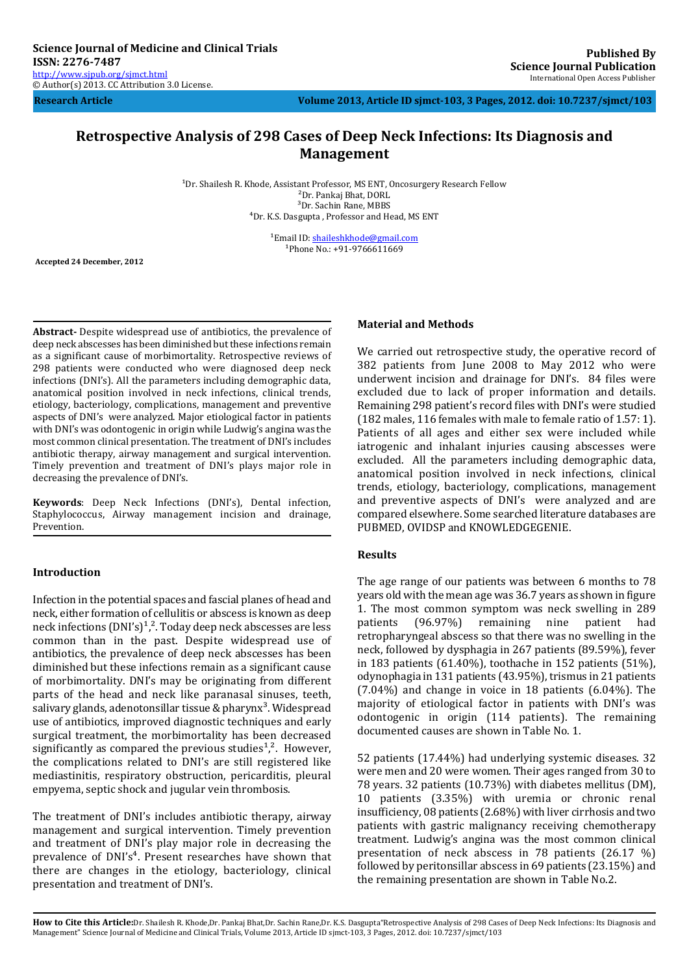**Volume 2013, Article ID sjmct-103, 3 Pages, 2012. doi: 10.7237/sjmct/103**

# **Retrospective Analysis of 298 Cases of Deep Neck Infections: Its Diagnosis and Management**

<sup>1</sup>Dr. Shailesh R. Khode, Assistant Professor, MS ENT, Oncosurgery Research Fellow ²Dr. Pankaj Bhat, DORL ³Dr. Sachin Rane, MBBS ⁴Dr. K.S. Dasgupta , Professor and Head, MS ENT

> <sup>1</sup>Email ID: [shaileshkhode@gmail.com](mailto:shaileshkhode@gmail.com) <sup>1</sup>Phone No.: +91-9766611669

**Accepted 24 December, 2012**

 **Research Article**

**Abstract-** Despite widespread use of antibiotics, the prevalence of deep neck abscesses has been diminished but these infections remain as a significant cause of morbimortality. Retrospective reviews of 298 patients were conducted who were diagnosed deep neck infections (DNI's). All the parameters including demographic data, anatomical position involved in neck infections, clinical trends, etiology, bacteriology, complications, management and preventive aspects of DNI's were analyzed. Major etiological factor in patients with DNI's was odontogenic in origin while Ludwig's angina was the most common clinical presentation. The treatment of DNI's includes antibiotic therapy, airway management and surgical intervention. Timely prevention and treatment of DNI's plays major role in decreasing the prevalence of DNI's.

**Keywords**: Deep Neck Infections (DNI's), Dental infection, Staphylococcus, Airway management incision and drainage, Prevention.

## **Introduction**

Infection in the potential spaces and fascial planes of head and neck, either formation of cellulitis or abscess is known as deep neck infections  $(DNI's)^{1,2}$ . Today deep neck abscesses are less common than in the past. Despite widespread use of antibiotics, the prevalence of deep neck abscesses has been diminished but these infections remain as a significant cause of morbimortality. DNI's may be originating from different parts of the head and neck like paranasal sinuses, teeth, salivary glands, adenotonsillar tissue & pharynx<sup>3</sup>. Widespread use of antibiotics, improved diagnostic techniques and early surgical treatment, the morbimortality has been decreased significantly as compared the previous studies<sup>1</sup>,<sup>2</sup>. However, the complications related to DNI's are still registered like mediastinitis, respiratory obstruction, pericarditis, pleural empyema, septic shock and jugular vein thrombosis.

The treatment of DNI's includes antibiotic therapy, airway management and surgical intervention. Timely prevention and treatment of DNI's play major role in decreasing the prevalence of  $DNI's<sup>4</sup>$ . Present researches have shown that there are changes in the etiology, bacteriology, clinical presentation and treatment of DNI's.

#### **Material and Methods**

We carried out retrospective study, the operative record of 382 patients from June 2008 to May 2012 who were underwent incision and drainage for DNI's. 84 files were excluded due to lack of proper information and details. Remaining 298 patient's record files with DNI's were studied (182 males, 116 females with male to female ratio of 1.57: 1). Patients of all ages and either sex were included while iatrogenic and inhalant injuries causing abscesses were excluded. All the parameters including demographic data, anatomical position involved in neck infections, clinical trends, etiology, bacteriology, complications, management and preventive aspects of DNI's were analyzed and are compared elsewhere. Some searched literature databases are PUBMED, OVIDSP and KNOWLEDGEGENIE.

#### **Results**

The age range of our patients was between 6 months to 78 years old with the mean age was 36.7 years as shown in figure 1. The most common symptom was neck swelling in 289 patients (96.97%) remaining nine patient had retropharyngeal abscess so that there was no swelling in the neck, followed by dysphagia in 267 patients (89.59%), fever in 183 patients (61.40%), toothache in 152 patients (51%), odynophagia in 131 patients (43.95%), trismus in 21 patients (7.04%) and change in voice in 18 patients (6.04%). The majority of etiological factor in patients with DNI's was odontogenic in origin (114 patients). The remaining documented causes are shown in Table No. 1.

52 patients (17.44%) had underlying systemic diseases. 32 were men and 20 were women. Their ages ranged from 30 to 78 years. 32 patients (10.73%) with diabetes mellitus (DM), 10 patients (3.35%) with uremia or chronic renal insufficiency, 08 patients (2.68%) with liver cirrhosis and two patients with gastric malignancy receiving chemotherapy treatment. Ludwig's angina was the most common clinical presentation of neck abscess in 78 patients (26.17 %) followed by peritonsillar abscess in 69 patients (23.15%) and the remaining presentation are shown in Table No.2.

**How to Cite this Article:**Dr. Shailesh R. Khode,Dr. Pankaj Bhat,Dr. Sachin Rane,Dr. K.S. Dasgupta"Retrospective Analysis of 298 Cases of Deep Neck Infections: Its Diagnosis and Management" Science Journal of Medicine and Clinical Trials, Volume 2013, Article ID sjmct-103, 3 Pages, 2012. doi: 10.7237/sjmct/103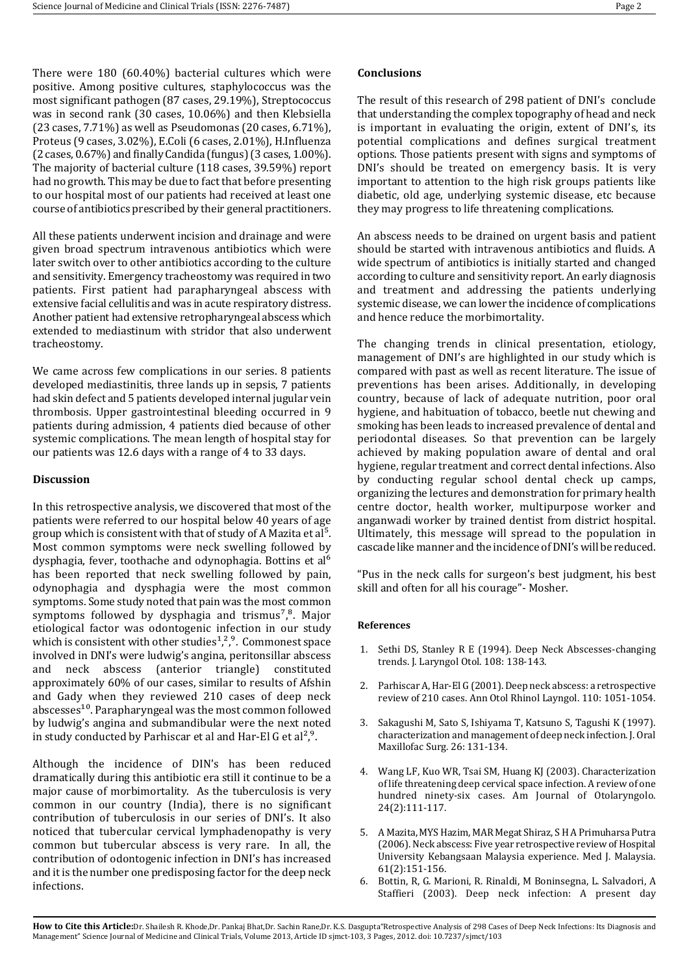There were 180 (60.40%) bacterial cultures which were positive. Among positive cultures, staphylococcus was the most significant pathogen (87 cases, 29.19%), Streptococcus was in second rank (30 cases, 10.06%) and then Klebsiella (23 cases, 7.71%) as well as Pseudomonas (20 cases, 6.71%), Proteus (9 cases, 3.02%), E.Coli (6 cases, 2.01%), H.Influenza (2 cases, 0.67%) and finally Candida (fungus) (3 cases, 1.00%). The majority of bacterial culture (118 cases, 39.59%) report had no growth. This may be due to fact that before presenting to our hospital most of our patients had received at least one course of antibiotics prescribed by their general practitioners.

All these patients underwent incision and drainage and were given broad spectrum intravenous antibiotics which were later switch over to other antibiotics according to the culture and sensitivity. Emergency tracheostomy was required in two patients. First patient had parapharyngeal abscess with extensive facial cellulitis and was in acute respiratory distress. Another patient had extensive retropharyngeal abscess which extended to mediastinum with stridor that also underwent tracheostomy.

We came across few complications in our series. 8 patients developed mediastinitis, three lands up in sepsis, 7 patients had skin defect and 5 patients developed internal jugular vein thrombosis. Upper gastrointestinal bleeding occurred in 9 patients during admission, 4 patients died because of other systemic complications. The mean length of hospital stay for our patients was 12.6 days with a range of 4 to 33 days.

## **Discussion**

In this retrospective analysis, we discovered that most of the patients were referred to our hospital below 40 years of age group which is consistent with that of study of A Mazita et al<sup>5</sup>. Most common symptoms were neck swelling followed by dysphagia, fever, toothache and odynophagia. Bottins et al<sup>6</sup> has been reported that neck swelling followed by pain, odynophagia and dysphagia were the most common symptoms. Some study noted that pain was the most common symptoms followed by dysphagia and trismus<sup>7,8</sup>. Major etiological factor was odontogenic infection in our study which is consistent with other studies<sup>1,2,9</sup>. Commonest space involved in DNI's were ludwig's angina, peritonsillar abscess and neck abscess (anterior triangle) constituted approximately 60% of our cases, similar to results of Afshin and Gady when they reviewed 210 cases of deep neck abscesses<sup>10</sup>. Parapharyngeal was the most common followed by ludwig's angina and submandibular were the next noted in study conducted by Parhiscar et al and Har-El G et al<sup>2</sup>,<sup>9</sup>.

Although the incidence of DIN's has been reduced dramatically during this antibiotic era still it continue to be a major cause of morbimortality. As the tuberculosis is very common in our country (India), there is no significant contribution of tuberculosis in our series of DNI's. It also noticed that tubercular cervical lymphadenopathy is very common but tubercular abscess is very rare. In all, the contribution of odontogenic infection in DNI's has increased and it is the number one predisposing factor for the deep neck infections.

### **Conclusions**

The result of this research of 298 patient of DNI's conclude that understanding the complex topography of head and neck is important in evaluating the origin, extent of DNI's, its potential complications and defines surgical treatment options. Those patients present with signs and symptoms of DNI's should be treated on emergency basis. It is very important to attention to the high risk groups patients like diabetic, old age, underlying systemic disease, etc because they may progress to life threatening complications.

An abscess needs to be drained on urgent basis and patient should be started with intravenous antibiotics and fluids. A wide spectrum of antibiotics is initially started and changed according to culture and sensitivity report. An early diagnosis and treatment and addressing the patients underlying systemic disease, we can lower the incidence of complications and hence reduce the morbimortality.

The changing trends in clinical presentation, etiology, management of DNI's are highlighted in our study which is compared with past as well as recent literature. The issue of preventions has been arises. Additionally, in developing country, because of lack of adequate nutrition, poor oral hygiene, and habituation of tobacco, beetle nut chewing and smoking has been leads to increased prevalence of dental and periodontal diseases. So that prevention can be largely achieved by making population aware of dental and oral hygiene, regular treatment and correct dental infections. Also by conducting regular school dental check up camps, organizing the lectures and demonstration for primary health centre doctor, health worker, multipurpose worker and anganwadi worker by trained dentist from district hospital. Ultimately, this message will spread to the population in cascade like manner and the incidence of DNI's will be reduced.

"Pus in the neck calls for surgeon's best judgment, his best skill and often for all his courage"- Mosher.

#### **References**

- 1. Sethi DS, Stanley R E (1994). Deep Neck Abscesses-changing trends. J. Laryngol Otol. 108: 138-143.
- 2. Parhiscar A, Har-El G (2001). Deep neck abscess: a retrospective review of 210 cases. Ann Otol Rhinol Layngol. 110: 1051-1054.
- 3. Sakagushi M, Sato S, Ishiyama T, Katsuno S, Tagushi K (1997). characterization and management of deep neck infection. J. Oral Maxillofac Surg. 26: 131-134.
- 4. Wang LF, Kuo WR, Tsai SM, Huang KJ (2003). Characterization of life threatening deep cervical space infection. A review of one hundred ninety-six cases. Am Journal of Otolaryngolo. 24(2):111-117.
- 5. A Mazita, MYS Hazim, MAR Megat Shiraz, S H A Primuharsa Putra (2006). Neck abscess: Five year retrospective review of Hospital University Kebangsaan Malaysia experience. Med J. Malaysia. 61(2):151-156.
- 6. Bottin, R, G. Marioni, R. Rinaldi, M Boninsegna, L. Salvadori, A Staffieri (2003). Deep neck infection: A present day

**How to Cite this Article:**Dr. Shailesh R. Khode,Dr. Pankaj Bhat,Dr. Sachin Rane,Dr. K.S. Dasgupta"Retrospective Analysis of 298 Cases of Deep Neck Infections: Its Diagnosis and Management" Science Journal of Medicine and Clinical Trials, Volume 2013, Article ID sjmct-103, 3 Pages, 2012. doi: 10.7237/sjmct/103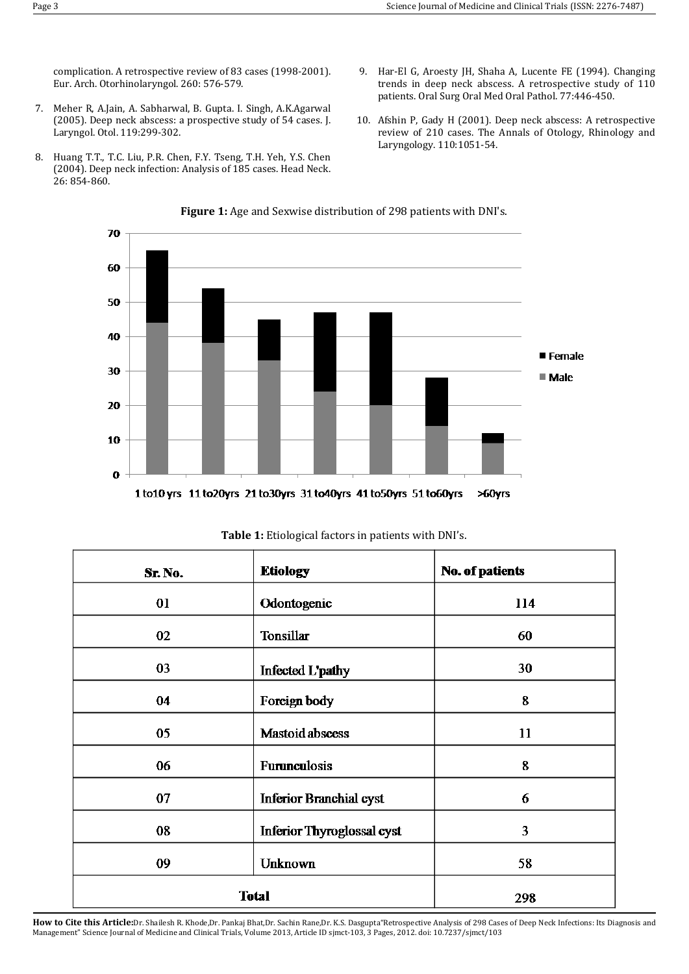complication. A retrospective review of 83 cases (1998-2001). Eur. Arch. Otorhinolaryngol. 260: 576-579.

- 7. Meher R, A.Jain, A. Sabharwal, B. Gupta. I. Singh, A.K.Agarwal (2005). Deep neck abscess: a prospective study of 54 cases. J. Laryngol. Otol. 119:299-302.
- 8. Huang T.T., T.C. Liu, P.R. Chen, F.Y. Tseng, T.H. Yeh, Y.S. Chen (2004). Deep neck infection: Analysis of 185 cases. Head Neck. 26: 854-860.
- 9. Har-El G, Aroesty JH, Shaha A, Lucente FE (1994). Changing trends in deep neck abscess. A retrospective study of 110 patients. Oral Surg Oral Med Oral Pathol. 77:446-450.
- 10. Afshin P, Gady H (2001). Deep neck abscess: A retrospective review of 210 cases. The Annals of Otology, Rhinology and Laryngology. 110:1051-54.



| Sr. No.      | <b>Etiology</b>                     | No. of patients |  |
|--------------|-------------------------------------|-----------------|--|
| 01           | Odontogenic                         | 114             |  |
| 02           | Tonsillar<br>60                     |                 |  |
| 03           | 30<br>Infected L'pathy              |                 |  |
| 04           | Foreign body                        | 8               |  |
| 05           | Mastoid abscess                     | 11              |  |
| 06           | <b>Furunculosis</b>                 | 8               |  |
| 07           | <b>Inferior Branchial cyst</b><br>6 |                 |  |
| 08           | <b>Inferior Thyroglossal cyst</b>   | 3               |  |
| 09           | Unknown                             | 58              |  |
| <b>Total</b> |                                     | 298             |  |

**Table 1:** Etiological factors in patients with DNI's.

**How to Cite this Article:**Dr. Shailesh R. Khode,Dr. Pankaj Bhat,Dr. Sachin Rane,Dr. K.S. Dasgupta"Retrospective Analysis of 298 Cases of Deep Neck Infections: Its Diagnosis and Management" Science Journal of Medicine and Clinical Trials, Volume 2013, Article ID sjmct-103, 3 Pages, 2012. doi: 10.7237/sjmct/103